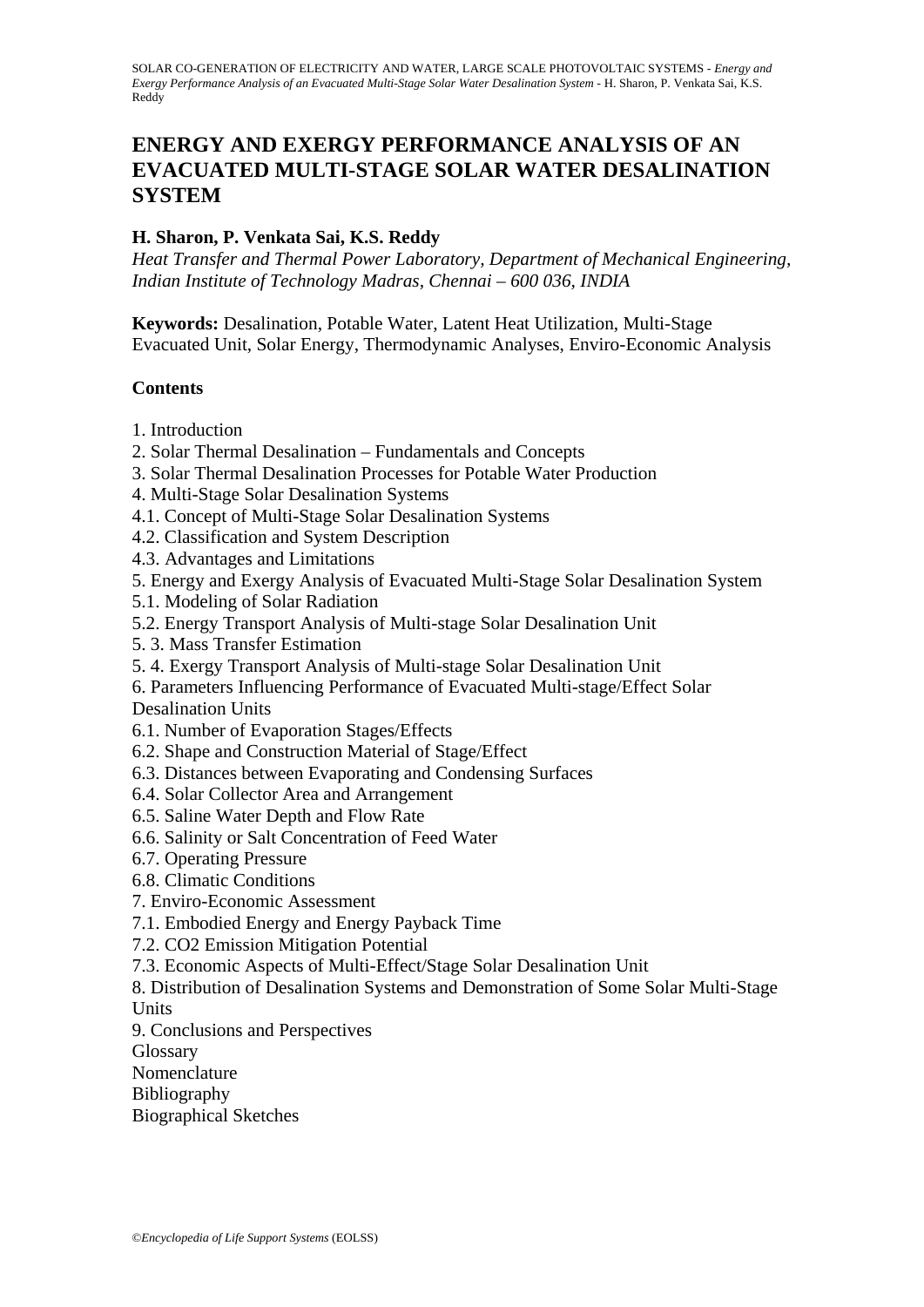# **ENERGY AND EXERGY PERFORMANCE ANALYSIS OF AN EVACUATED MULTI-STAGE SOLAR WATER DESALINATION SYSTEM**

## **H. Sharon, P. Venkata Sai, K.S. Reddy**

*Heat Transfer and Thermal Power Laboratory, Department of Mechanical Engineering, Indian Institute of Technology Madras, Chennai – 600 036, INDIA* 

**Keywords:** Desalination, Potable Water, Latent Heat Utilization, Multi-Stage Evacuated Unit, Solar Energy, Thermodynamic Analyses, Enviro-Economic Analysis

### **Contents**

- 1. Introduction
- 2. Solar Thermal Desalination Fundamentals and Concepts
- 3. Solar Thermal Desalination Processes for Potable Water Production
- 4. Multi-Stage Solar Desalination Systems
- 4.1. Concept of Multi-Stage Solar Desalination Systems
- 4.2. Classification and System Description
- 4.3. Advantages and Limitations
- 5. Energy and Exergy Analysis of Evacuated Multi-Stage Solar Desalination System
- 5.1. Modeling of Solar Radiation
- 5.2. Energy Transport Analysis of Multi-stage Solar Desalination Unit
- 5. 3. Mass Transfer Estimation
- 5. 4. Exergy Transport Analysis of Multi-stage Solar Desalination Unit
- 6. Parameters Influencing Performance of Evacuated Multi-stage/Effect Solar Desalination Units
- 6.1. Number of Evaporation Stages/Effects
- 6.2. Shape and Construction Material of Stage/Effect
- 6.3. Distances between Evaporating and Condensing Surfaces
- 6.4. Solar Collector Area and Arrangement
- 6.5. Saline Water Depth and Flow Rate
- 6.6. Salinity or Salt Concentration of Feed Water
- 6.7. Operating Pressure
- 6.8. Climatic Conditions
- 7. Enviro-Economic Assessment
- 7.1. Embodied Energy and Energy Payback Time
- 7.2. CO2 Emission Mitigation Potential
- 7.3. Economic Aspects of Multi-Effect/Stage Solar Desalination Unit
- 8. Distribution of Desalination Systems and Demonstration of Some Solar Multi-Stage Units
- 9. Conclusions and Perspectives
- **Glossary**
- Nomenclature
- Bibliography
- Biographical Sketches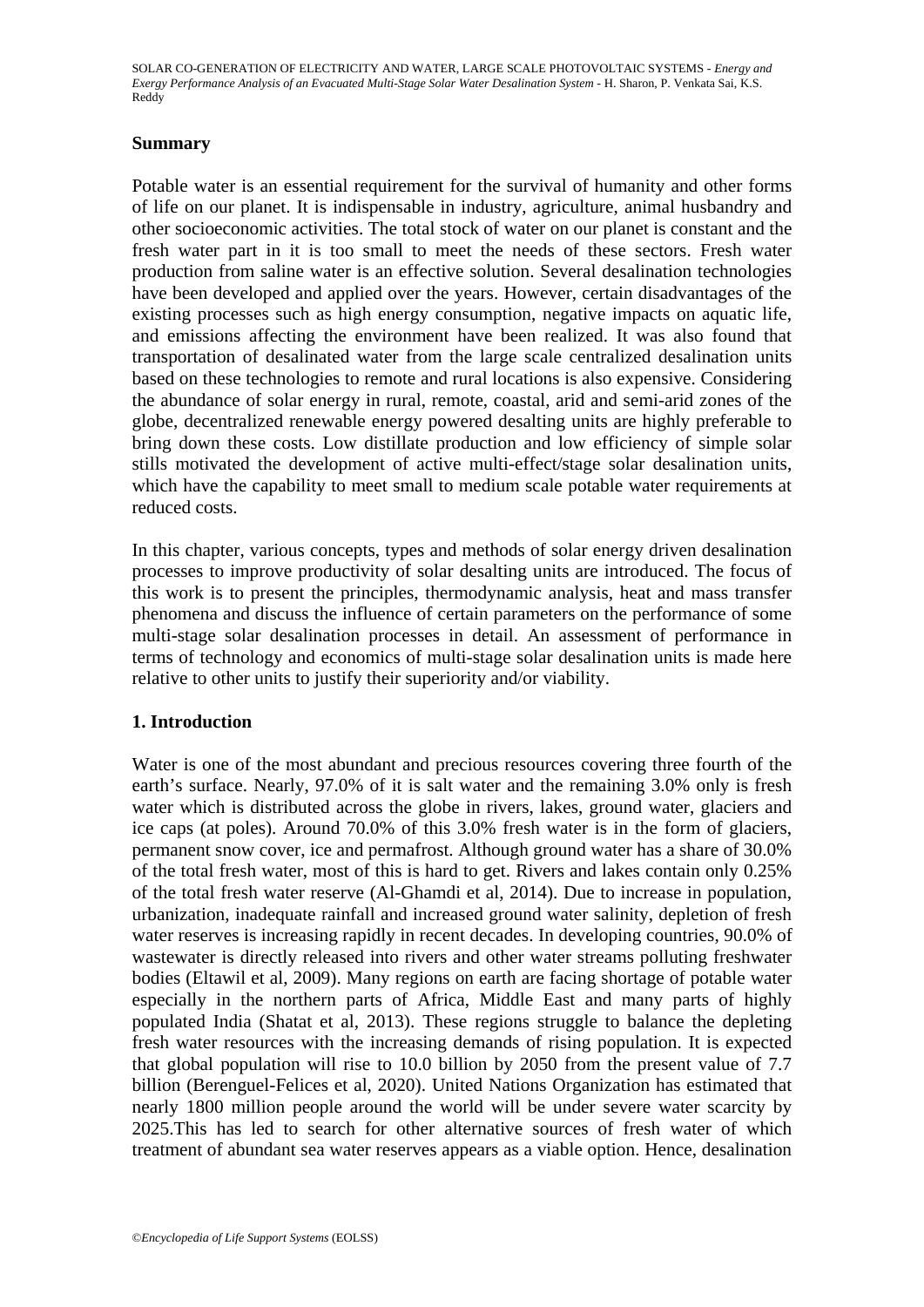### **Summary**

Potable water is an essential requirement for the survival of humanity and other forms of life on our planet. It is indispensable in industry, agriculture, animal husbandry and other socioeconomic activities. The total stock of water on our planet is constant and the fresh water part in it is too small to meet the needs of these sectors. Fresh water production from saline water is an effective solution. Several desalination technologies have been developed and applied over the years. However, certain disadvantages of the existing processes such as high energy consumption, negative impacts on aquatic life, and emissions affecting the environment have been realized. It was also found that transportation of desalinated water from the large scale centralized desalination units based on these technologies to remote and rural locations is also expensive. Considering the abundance of solar energy in rural, remote, coastal, arid and semi-arid zones of the globe, decentralized renewable energy powered desalting units are highly preferable to bring down these costs. Low distillate production and low efficiency of simple solar stills motivated the development of active multi-effect/stage solar desalination units, which have the capability to meet small to medium scale potable water requirements at reduced costs.

In this chapter, various concepts, types and methods of solar energy driven desalination processes to improve productivity of solar desalting units are introduced. The focus of this work is to present the principles, thermodynamic analysis, heat and mass transfer phenomena and discuss the influence of certain parameters on the performance of some multi-stage solar desalination processes in detail. An assessment of performance in terms of technology and economics of multi-stage solar desalination units is made here relative to other units to justify their superiority and/or viability.

# **1. Introduction**

Water is one of the most abundant and precious resources covering three fourth of the earth's surface. Nearly, 97.0% of it is salt water and the remaining 3.0% only is fresh water which is distributed across the globe in rivers, lakes, ground water, glaciers and ice caps (at poles). Around 70.0% of this 3.0% fresh water is in the form of glaciers, permanent snow cover, ice and permafrost. Although ground water has a share of 30.0% of the total fresh water, most of this is hard to get. Rivers and lakes contain only 0.25% of the total fresh water reserve (Al-Ghamdi et al, 2014). Due to increase in population, urbanization, inadequate rainfall and increased ground water salinity, depletion of fresh water reserves is increasing rapidly in recent decades. In developing countries, 90.0% of wastewater is directly released into rivers and other water streams polluting freshwater bodies (Eltawil et al, 2009). Many regions on earth are facing shortage of potable water especially in the northern parts of Africa, Middle East and many parts of highly populated India (Shatat et al, 2013). These regions struggle to balance the depleting fresh water resources with the increasing demands of rising population. It is expected that global population will rise to 10.0 billion by 2050 from the present value of 7.7 billion (Berenguel-Felices et al, 2020). United Nations Organization has estimated that nearly 1800 million people around the world will be under severe water scarcity by 2025.This has led to search for other alternative sources of fresh water of which treatment of abundant sea water reserves appears as a viable option. Hence, desalination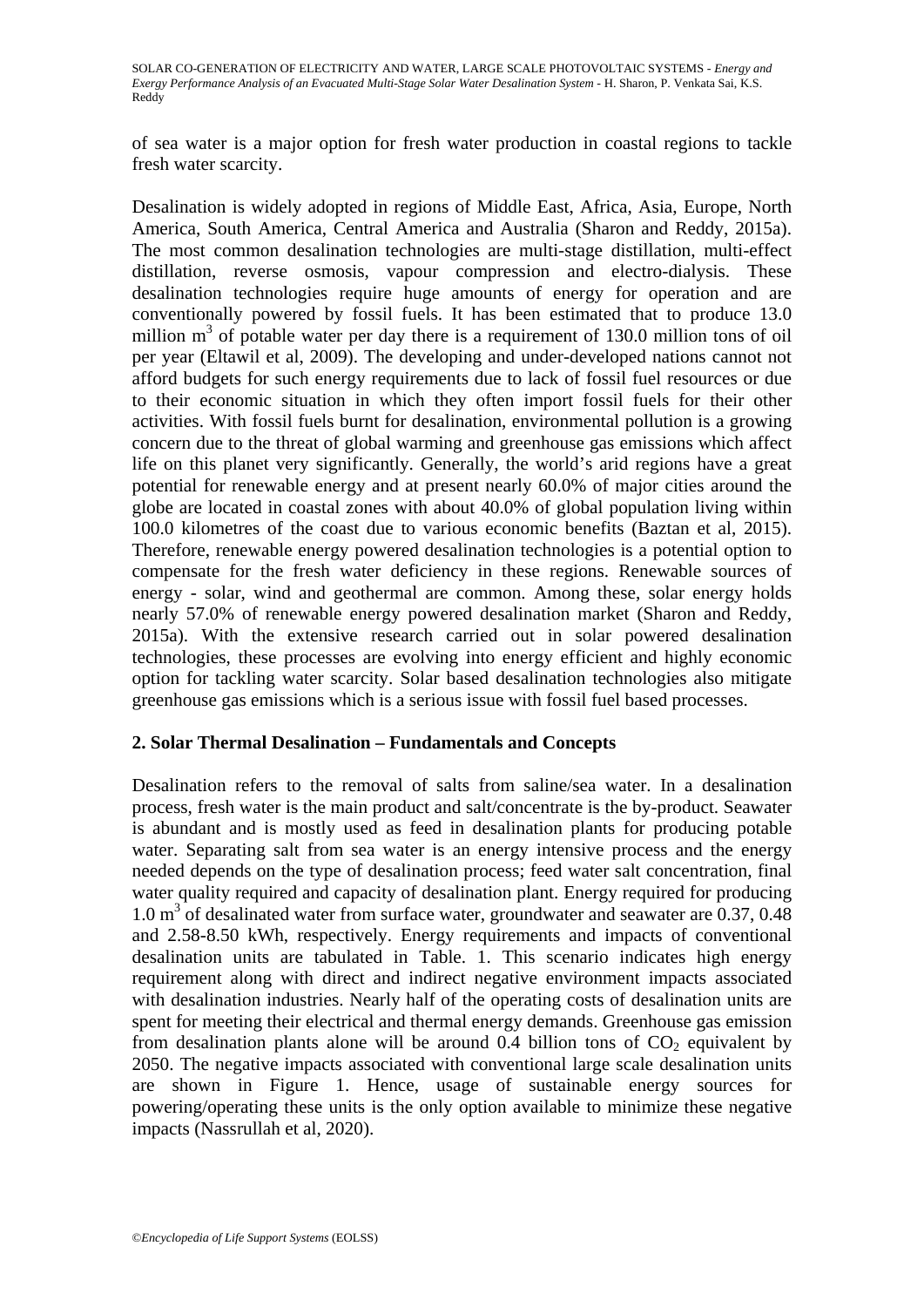of sea water is a major option for fresh water production in coastal regions to tackle fresh water scarcity.

Desalination is widely adopted in regions of Middle East, Africa, Asia, Europe, North America, South America, Central America and Australia (Sharon and Reddy, 2015a). The most common desalination technologies are multi-stage distillation, multi-effect distillation, reverse osmosis, vapour compression and electro-dialysis. These desalination technologies require huge amounts of energy for operation and are conventionally powered by fossil fuels. It has been estimated that to produce 13.0 million  $m<sup>3</sup>$  of potable water per day there is a requirement of 130.0 million tons of oil per year (Eltawil et al, 2009). The developing and under-developed nations cannot not afford budgets for such energy requirements due to lack of fossil fuel resources or due to their economic situation in which they often import fossil fuels for their other activities. With fossil fuels burnt for desalination, environmental pollution is a growing concern due to the threat of global warming and greenhouse gas emissions which affect life on this planet very significantly. Generally, the world's arid regions have a great potential for renewable energy and at present nearly 60.0% of major cities around the globe are located in coastal zones with about 40.0% of global population living within 100.0 kilometres of the coast due to various economic benefits (Baztan et al, 2015). Therefore, renewable energy powered desalination technologies is a potential option to compensate for the fresh water deficiency in these regions. Renewable sources of energy - solar, wind and geothermal are common. Among these, solar energy holds nearly 57.0% of renewable energy powered desalination market (Sharon and Reddy, 2015a). With the extensive research carried out in solar powered desalination technologies, these processes are evolving into energy efficient and highly economic option for tackling water scarcity. Solar based desalination technologies also mitigate greenhouse gas emissions which is a serious issue with fossil fuel based processes.

### **2. Solar Thermal Desalination – Fundamentals and Concepts**

Desalination refers to the removal of salts from saline/sea water. In a desalination process, fresh water is the main product and salt/concentrate is the by-product. Seawater is abundant and is mostly used as feed in desalination plants for producing potable water. Separating salt from sea water is an energy intensive process and the energy needed depends on the type of desalination process; feed water salt concentration, final water quality required and capacity of desalination plant. Energy required for producing 1.0 m<sup>3</sup> of desalinated water from surface water, groundwater and seawater are 0.37, 0.48 and 2.58-8.50 kWh, respectively. Energy requirements and impacts of conventional desalination units are tabulated in Table. 1. This scenario indicates high energy requirement along with direct and indirect negative environment impacts associated with desalination industries. Nearly half of the operating costs of desalination units are spent for meeting their electrical and thermal energy demands. Greenhouse gas emission from desalination plants alone will be around 0.4 billion tons of  $CO<sub>2</sub>$  equivalent by 2050. The negative impacts associated with conventional large scale desalination units are shown in Figure 1. Hence, usage of sustainable energy sources for powering/operating these units is the only option available to minimize these negative impacts (Nassrullah et al, 2020).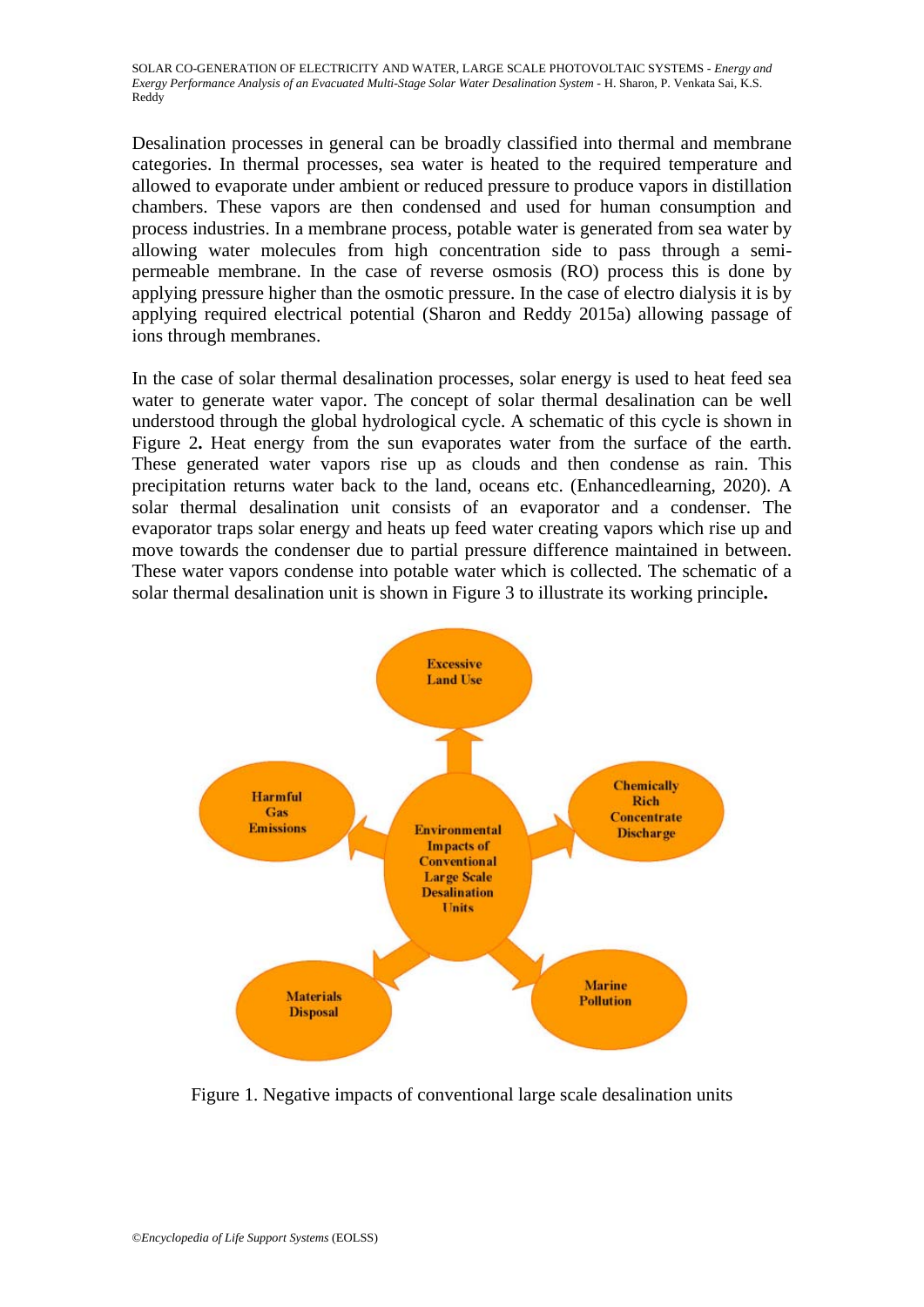Desalination processes in general can be broadly classified into thermal and membrane categories. In thermal processes, sea water is heated to the required temperature and allowed to evaporate under ambient or reduced pressure to produce vapors in distillation chambers. These vapors are then condensed and used for human consumption and process industries. In a membrane process, potable water is generated from sea water by allowing water molecules from high concentration side to pass through a semipermeable membrane. In the case of reverse osmosis (RO) process this is done by applying pressure higher than the osmotic pressure. In the case of electro dialysis it is by applying required electrical potential (Sharon and Reddy 2015a) allowing passage of ions through membranes.

In the case of solar thermal desalination processes, solar energy is used to heat feed sea water to generate water vapor. The concept of solar thermal desalination can be well understood through the global hydrological cycle. A schematic of this cycle is shown in Figure 2**.** Heat energy from the sun evaporates water from the surface of the earth. These generated water vapors rise up as clouds and then condense as rain. This precipitation returns water back to the land, oceans etc. (Enhancedlearning, 2020). A solar thermal desalination unit consists of an evaporator and a condenser. The evaporator traps solar energy and heats up feed water creating vapors which rise up and move towards the condenser due to partial pressure difference maintained in between. These water vapors condense into potable water which is collected. The schematic of a solar thermal desalination unit is shown in Figure 3 to illustrate its working principle**.** 



Figure 1. Negative impacts of conventional large scale desalination units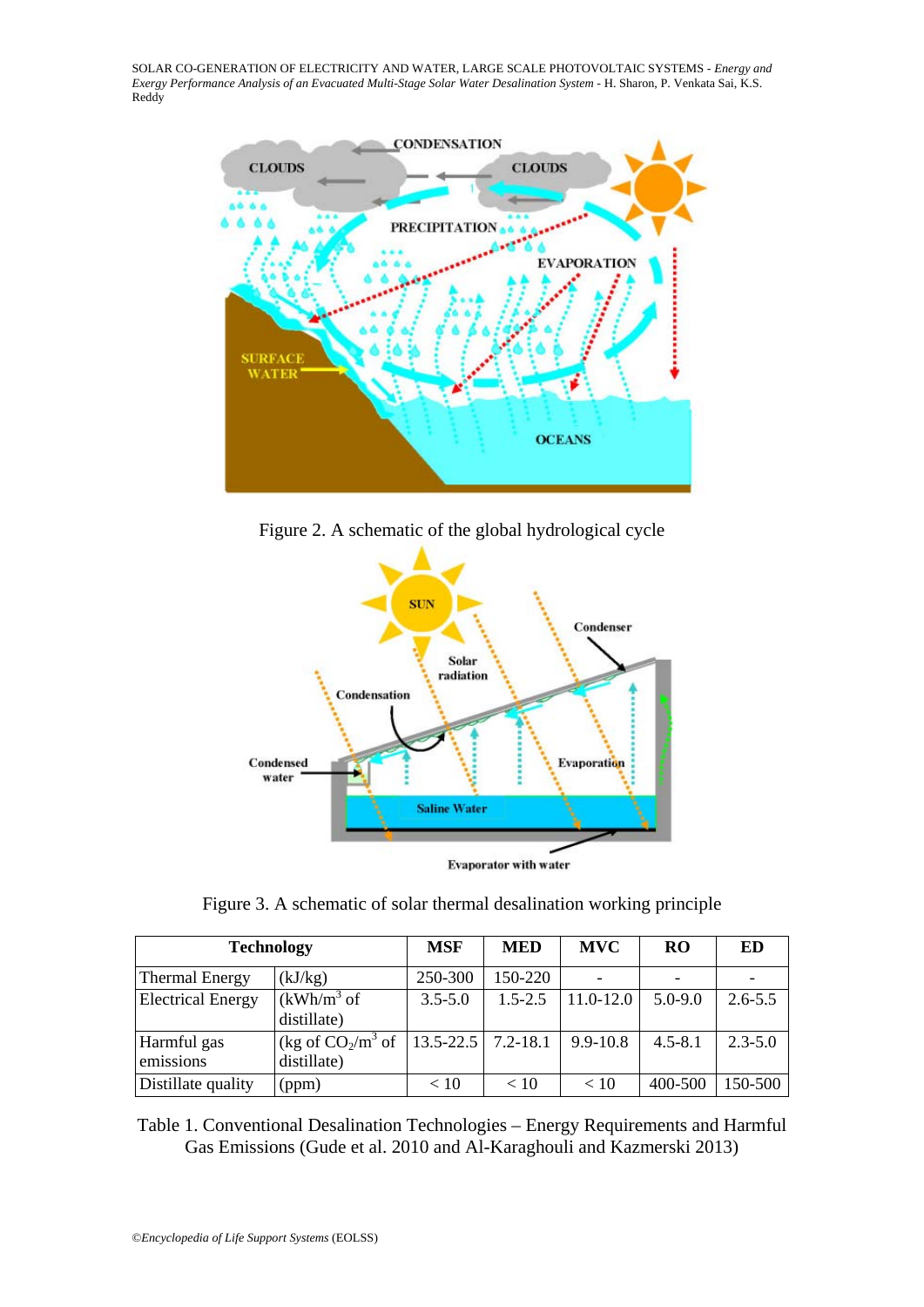

Figure 2. A schematic of the global hydrological cycle



Figure 3. A schematic of solar thermal desalination working principle

| <b>Technology</b>        |                                     | <b>MSF</b>    | <b>MED</b>   | <b>MVC</b>    | <b>RO</b>   | ED          |
|--------------------------|-------------------------------------|---------------|--------------|---------------|-------------|-------------|
| <b>Thermal Energy</b>    | (kJ/kg)                             | 250-300       | 150-220      |               |             |             |
| <b>Electrical Energy</b> | $(kWh/m3$ of<br>distillate)         | $3.5 - 5.0$   | $1.5 - 2.5$  | $11.0 - 12.0$ | $5.0 - 9.0$ | $2.6 - 5.5$ |
| Harmful gas<br>emissions | (kg of $CO_2/m^3$ of<br>distillate) | $13.5 - 22.5$ | $7.2 - 18.1$ | $9.9 - 10.8$  | $4.5 - 8.1$ | $2.3 - 5.0$ |
| Distillate quality       | (ppm)                               | < 10          | < 10         | < 10          | 400-500     | 150-500     |

Table 1. Conventional Desalination Technologies – Energy Requirements and Harmful Gas Emissions (Gude et al. 2010 and Al-Karaghouli and Kazmerski 2013)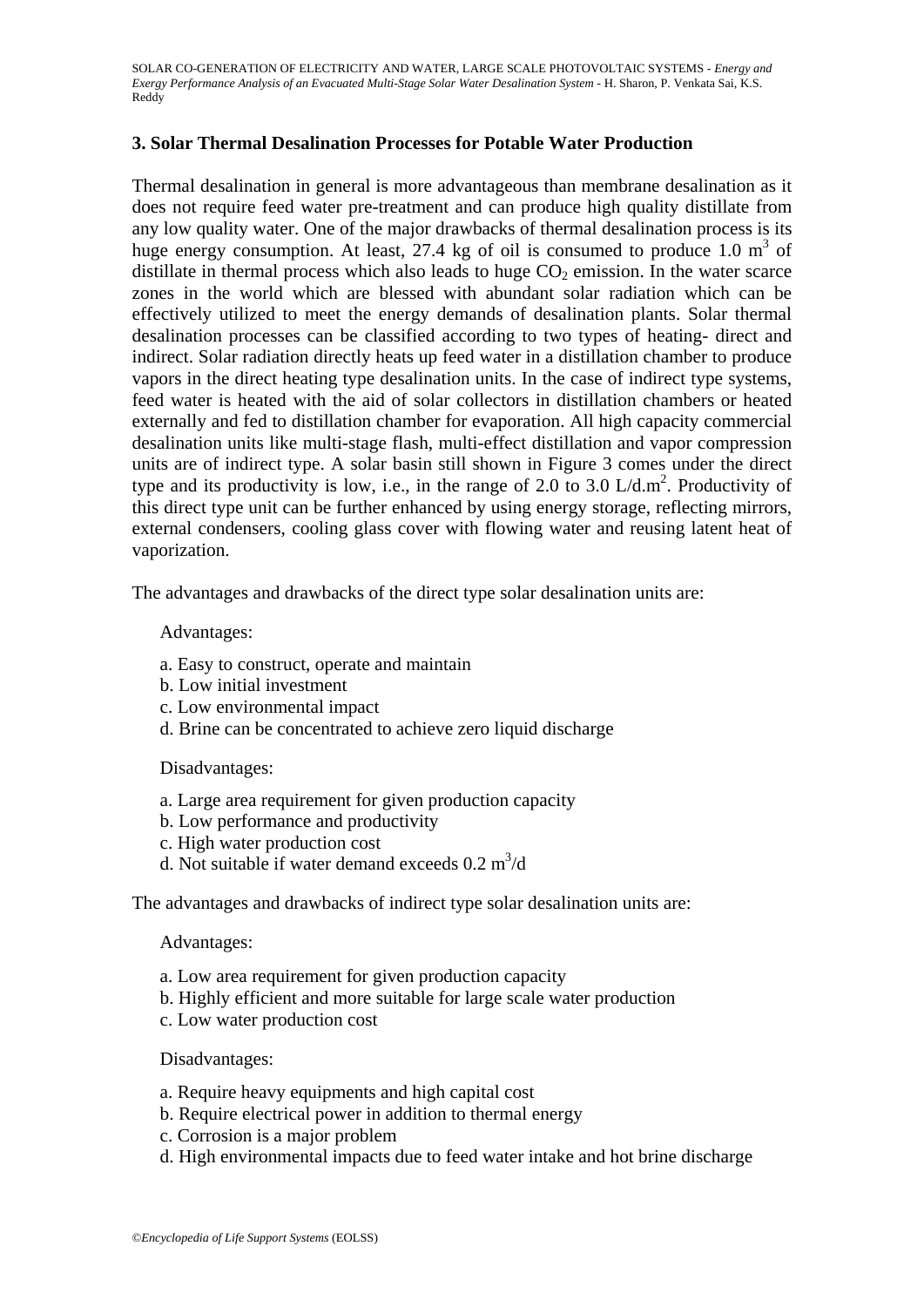### **3. Solar Thermal Desalination Processes for Potable Water Production**

Thermal desalination in general is more advantageous than membrane desalination as it does not require feed water pre-treatment and can produce high quality distillate from any low quality water. One of the major drawbacks of thermal desalination process is its huge energy consumption. At least,  $27.4$  kg of oil is consumed to produce 1.0 m<sup>3</sup> of distillate in thermal process which also leads to huge  $CO<sub>2</sub>$  emission. In the water scarce zones in the world which are blessed with abundant solar radiation which can be effectively utilized to meet the energy demands of desalination plants. Solar thermal desalination processes can be classified according to two types of heating- direct and indirect. Solar radiation directly heats up feed water in a distillation chamber to produce vapors in the direct heating type desalination units. In the case of indirect type systems, feed water is heated with the aid of solar collectors in distillation chambers or heated externally and fed to distillation chamber for evaporation. All high capacity commercial desalination units like multi-stage flash, multi-effect distillation and vapor compression units are of indirect type. A solar basin still shown in Figure 3 comes under the direct type and its productivity is low, i.e., in the range of 2.0 to 3.0  $L/d.m^2$ . Productivity of this direct type unit can be further enhanced by using energy storage, reflecting mirrors, external condensers, cooling glass cover with flowing water and reusing latent heat of vaporization.

The advantages and drawbacks of the direct type solar desalination units are:

### Advantages:

- a. Easy to construct, operate and maintain
- b. Low initial investment
- c. Low environmental impact
- d. Brine can be concentrated to achieve zero liquid discharge

#### Disadvantages:

- a. Large area requirement for given production capacity
- b. Low performance and productivity
- c. High water production cost
- d. Not suitable if water demand exceeds  $0.2 \text{ m}^3/\text{d}$

The advantages and drawbacks of indirect type solar desalination units are:

#### Advantages:

- a. Low area requirement for given production capacity
- b. Highly efficient and more suitable for large scale water production
- c. Low water production cost

#### Disadvantages:

- a. Require heavy equipments and high capital cost
- b. Require electrical power in addition to thermal energy
- c. Corrosion is a major problem
- d. High environmental impacts due to feed water intake and hot brine discharge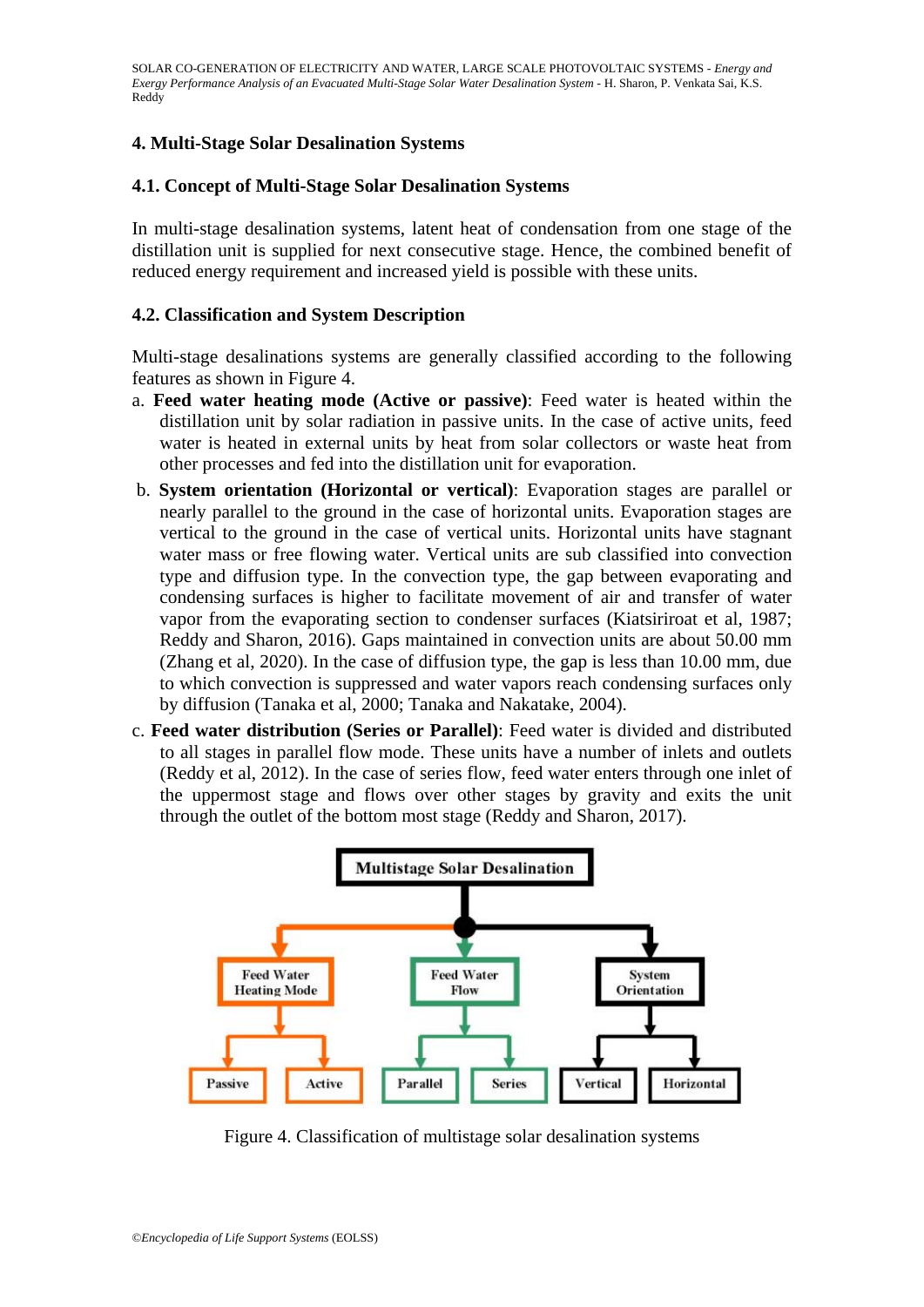### **4. Multi-Stage Solar Desalination Systems**

### **4.1. Concept of Multi-Stage Solar Desalination Systems**

In multi-stage desalination systems, latent heat of condensation from one stage of the distillation unit is supplied for next consecutive stage. Hence, the combined benefit of reduced energy requirement and increased yield is possible with these units.

### **4.2. Classification and System Description**

Multi-stage desalinations systems are generally classified according to the following features as shown in Figure 4.

- a. **Feed water heating mode (Active or passive)**: Feed water is heated within the distillation unit by solar radiation in passive units. In the case of active units, feed water is heated in external units by heat from solar collectors or waste heat from other processes and fed into the distillation unit for evaporation.
- b. **System orientation (Horizontal or vertical)**: Evaporation stages are parallel or nearly parallel to the ground in the case of horizontal units. Evaporation stages are vertical to the ground in the case of vertical units. Horizontal units have stagnant water mass or free flowing water. Vertical units are sub classified into convection type and diffusion type. In the convection type, the gap between evaporating and condensing surfaces is higher to facilitate movement of air and transfer of water vapor from the evaporating section to condenser surfaces (Kiatsiriroat et al, 1987; Reddy and Sharon, 2016). Gaps maintained in convection units are about 50.00 mm (Zhang et al, 2020). In the case of diffusion type, the gap is less than 10.00 mm, due to which convection is suppressed and water vapors reach condensing surfaces only by diffusion (Tanaka et al, 2000; Tanaka and Nakatake, 2004).
- c. **Feed water distribution (Series or Parallel)**: Feed water is divided and distributed to all stages in parallel flow mode. These units have a number of inlets and outlets (Reddy et al, 2012). In the case of series flow, feed water enters through one inlet of the uppermost stage and flows over other stages by gravity and exits the unit through the outlet of the bottom most stage (Reddy and Sharon, 2017).



Figure 4. Classification of multistage solar desalination systems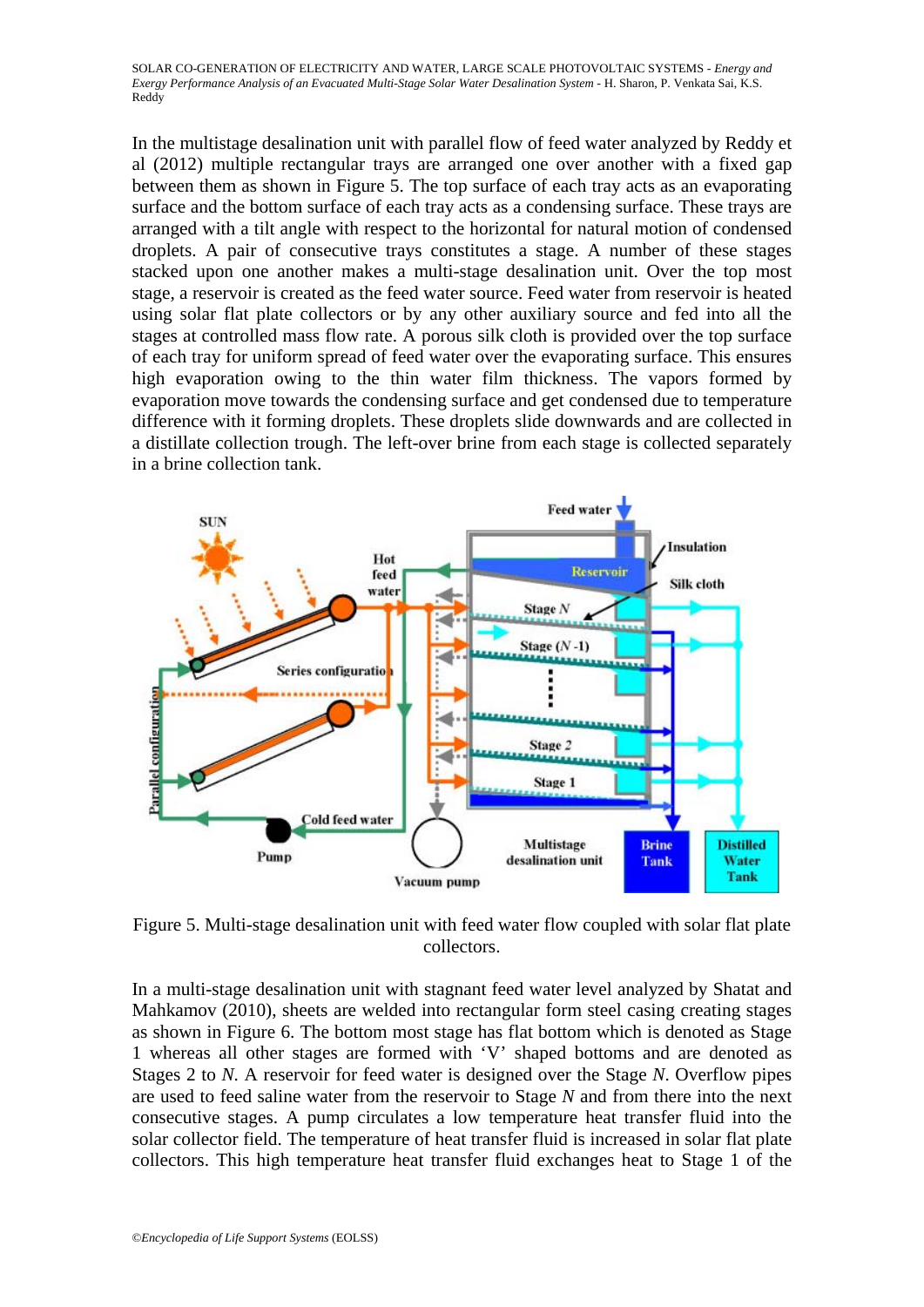In the multistage desalination unit with parallel flow of feed water analyzed by Reddy et al (2012) multiple rectangular trays are arranged one over another with a fixed gap between them as shown in Figure 5. The top surface of each tray acts as an evaporating surface and the bottom surface of each tray acts as a condensing surface. These trays are arranged with a tilt angle with respect to the horizontal for natural motion of condensed droplets. A pair of consecutive trays constitutes a stage. A number of these stages stacked upon one another makes a multi-stage desalination unit. Over the top most stage, a reservoir is created as the feed water source. Feed water from reservoir is heated using solar flat plate collectors or by any other auxiliary source and fed into all the stages at controlled mass flow rate. A porous silk cloth is provided over the top surface of each tray for uniform spread of feed water over the evaporating surface. This ensures high evaporation owing to the thin water film thickness. The vapors formed by evaporation move towards the condensing surface and get condensed due to temperature difference with it forming droplets. These droplets slide downwards and are collected in a distillate collection trough. The left-over brine from each stage is collected separately in a brine collection tank.



Figure 5. Multi-stage desalination unit with feed water flow coupled with solar flat plate collectors.

In a multi-stage desalination unit with stagnant feed water level analyzed by Shatat and Mahkamov (2010), sheets are welded into rectangular form steel casing creating stages as shown in Figure 6. The bottom most stage has flat bottom which is denoted as Stage 1 whereas all other stages are formed with 'V' shaped bottoms and are denoted as Stages 2 to *N*. A reservoir for feed water is designed over the Stage *N*. Overflow pipes are used to feed saline water from the reservoir to Stage *N* and from there into the next consecutive stages. A pump circulates a low temperature heat transfer fluid into the solar collector field. The temperature of heat transfer fluid is increased in solar flat plate collectors. This high temperature heat transfer fluid exchanges heat to Stage 1 of the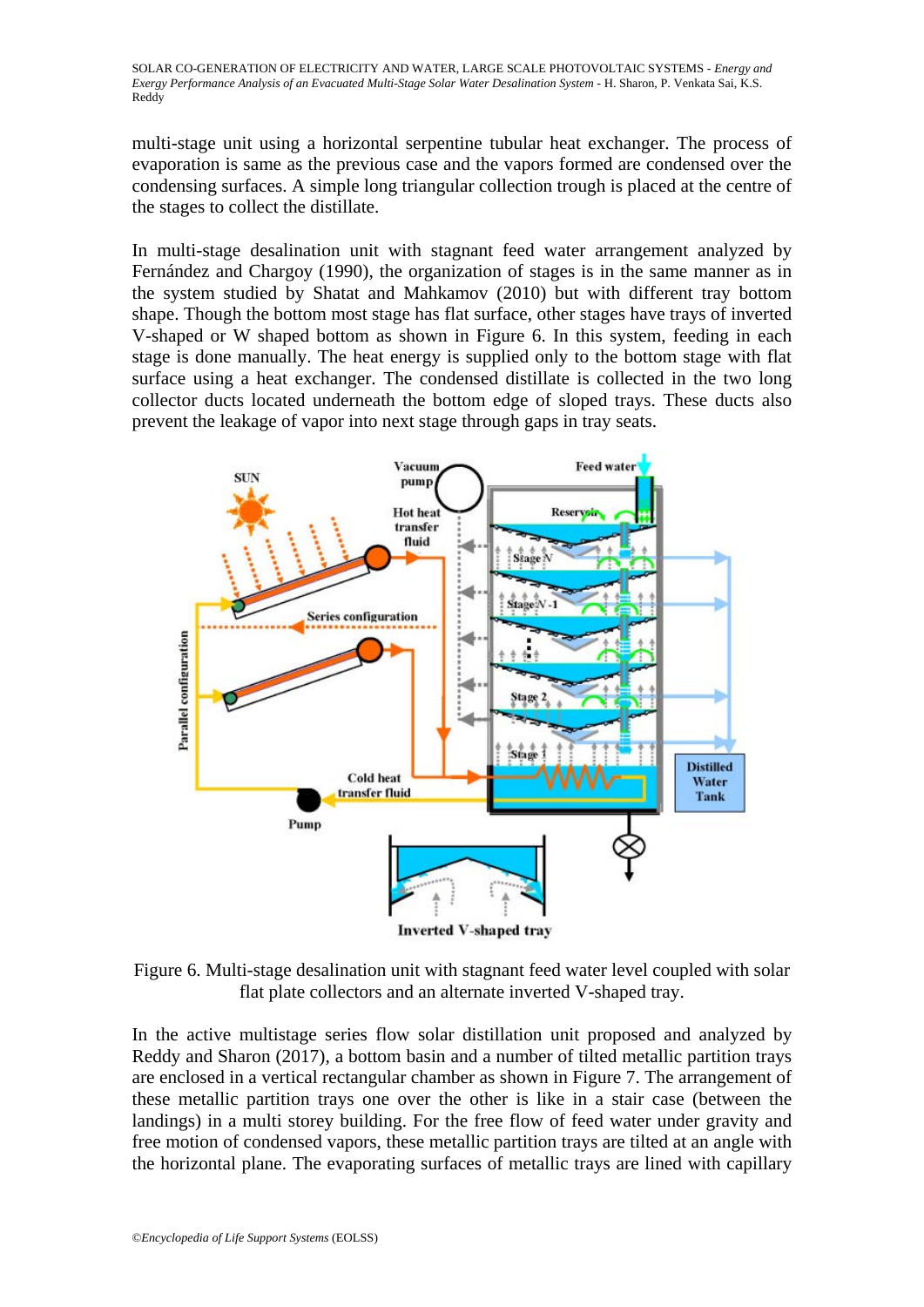multi-stage unit using a horizontal serpentine tubular heat exchanger. The process of evaporation is same as the previous case and the vapors formed are condensed over the condensing surfaces. A simple long triangular collection trough is placed at the centre of the stages to collect the distillate.

In multi-stage desalination unit with stagnant feed water arrangement analyzed by Fernández and Chargoy (1990), the organization of stages is in the same manner as in the system studied by Shatat and Mahkamov (2010) but with different tray bottom shape. Though the bottom most stage has flat surface, other stages have trays of inverted V-shaped or W shaped bottom as shown in Figure 6. In this system, feeding in each stage is done manually. The heat energy is supplied only to the bottom stage with flat surface using a heat exchanger. The condensed distillate is collected in the two long collector ducts located underneath the bottom edge of sloped trays. These ducts also prevent the leakage of vapor into next stage through gaps in tray seats.



**Inverted V-shaped tray** 

Figure 6. Multi-stage desalination unit with stagnant feed water level coupled with solar flat plate collectors and an alternate inverted V-shaped tray.

In the active multistage series flow solar distillation unit proposed and analyzed by Reddy and Sharon (2017), a bottom basin and a number of tilted metallic partition trays are enclosed in a vertical rectangular chamber as shown in Figure 7. The arrangement of these metallic partition trays one over the other is like in a stair case (between the landings) in a multi storey building. For the free flow of feed water under gravity and free motion of condensed vapors, these metallic partition trays are tilted at an angle with the horizontal plane. The evaporating surfaces of metallic trays are lined with capillary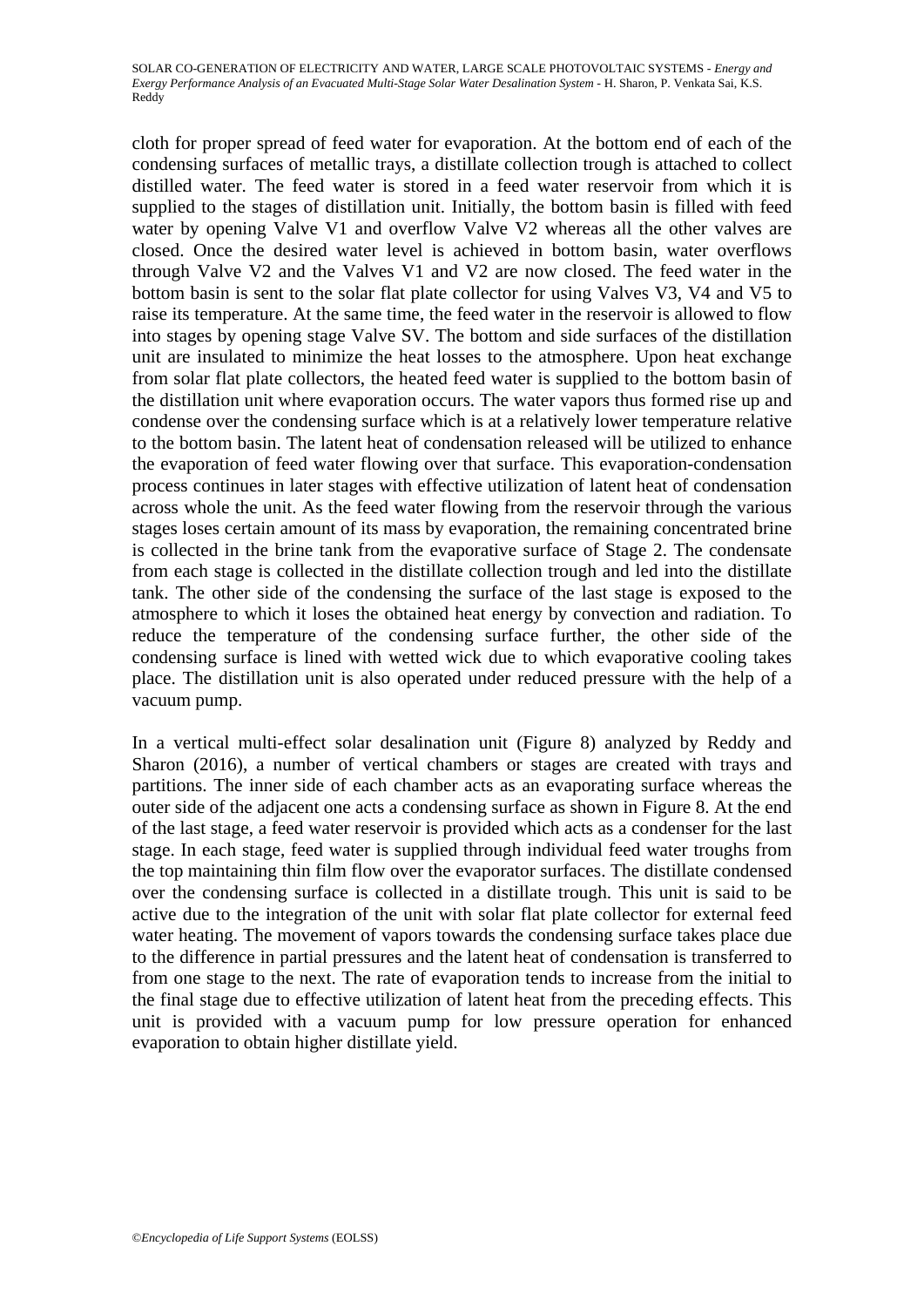cloth for proper spread of feed water for evaporation. At the bottom end of each of the condensing surfaces of metallic trays, a distillate collection trough is attached to collect distilled water. The feed water is stored in a feed water reservoir from which it is supplied to the stages of distillation unit. Initially, the bottom basin is filled with feed water by opening Valve V1 and overflow Valve V2 whereas all the other valves are closed. Once the desired water level is achieved in bottom basin, water overflows through Valve V2 and the Valves V1 and V2 are now closed. The feed water in the bottom basin is sent to the solar flat plate collector for using Valves V3, V4 and V5 to raise its temperature. At the same time, the feed water in the reservoir is allowed to flow into stages by opening stage Valve SV. The bottom and side surfaces of the distillation unit are insulated to minimize the heat losses to the atmosphere. Upon heat exchange from solar flat plate collectors, the heated feed water is supplied to the bottom basin of the distillation unit where evaporation occurs. The water vapors thus formed rise up and condense over the condensing surface which is at a relatively lower temperature relative to the bottom basin. The latent heat of condensation released will be utilized to enhance the evaporation of feed water flowing over that surface. This evaporation-condensation process continues in later stages with effective utilization of latent heat of condensation across whole the unit. As the feed water flowing from the reservoir through the various stages loses certain amount of its mass by evaporation, the remaining concentrated brine is collected in the brine tank from the evaporative surface of Stage 2. The condensate from each stage is collected in the distillate collection trough and led into the distillate tank. The other side of the condensing the surface of the last stage is exposed to the atmosphere to which it loses the obtained heat energy by convection and radiation. To reduce the temperature of the condensing surface further, the other side of the condensing surface is lined with wetted wick due to which evaporative cooling takes place. The distillation unit is also operated under reduced pressure with the help of a vacuum pump.

In a vertical multi-effect solar desalination unit (Figure 8) analyzed by Reddy and Sharon (2016), a number of vertical chambers or stages are created with trays and partitions. The inner side of each chamber acts as an evaporating surface whereas the outer side of the adjacent one acts a condensing surface as shown in Figure 8. At the end of the last stage, a feed water reservoir is provided which acts as a condenser for the last stage. In each stage, feed water is supplied through individual feed water troughs from the top maintaining thin film flow over the evaporator surfaces. The distillate condensed over the condensing surface is collected in a distillate trough. This unit is said to be active due to the integration of the unit with solar flat plate collector for external feed water heating. The movement of vapors towards the condensing surface takes place due to the difference in partial pressures and the latent heat of condensation is transferred to from one stage to the next. The rate of evaporation tends to increase from the initial to the final stage due to effective utilization of latent heat from the preceding effects. This unit is provided with a vacuum pump for low pressure operation for enhanced evaporation to obtain higher distillate yield.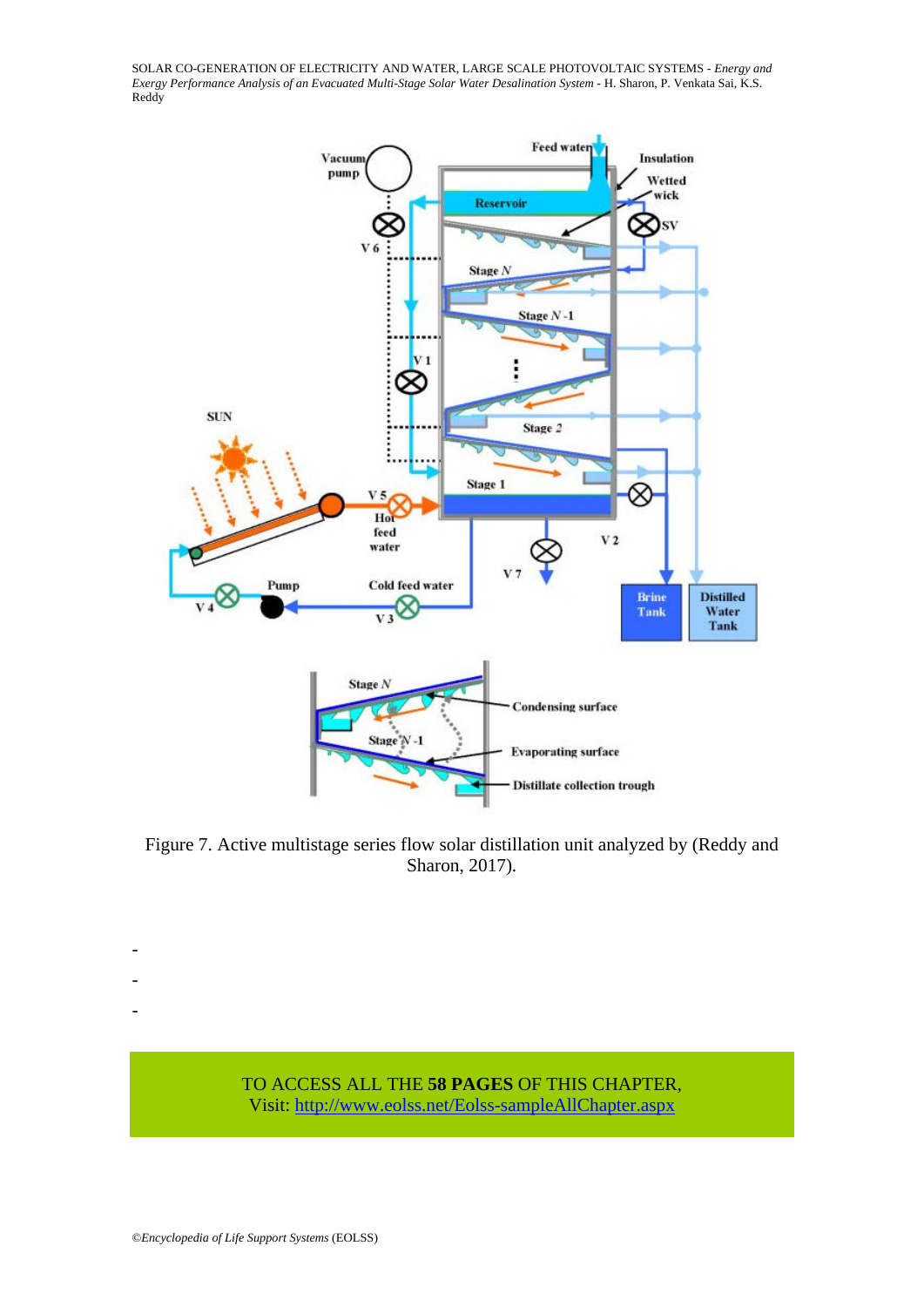

Figure 7. Active multistage series flow solar distillation unit analyzed by (Reddy and Sharon, 2017)*.* 



- - -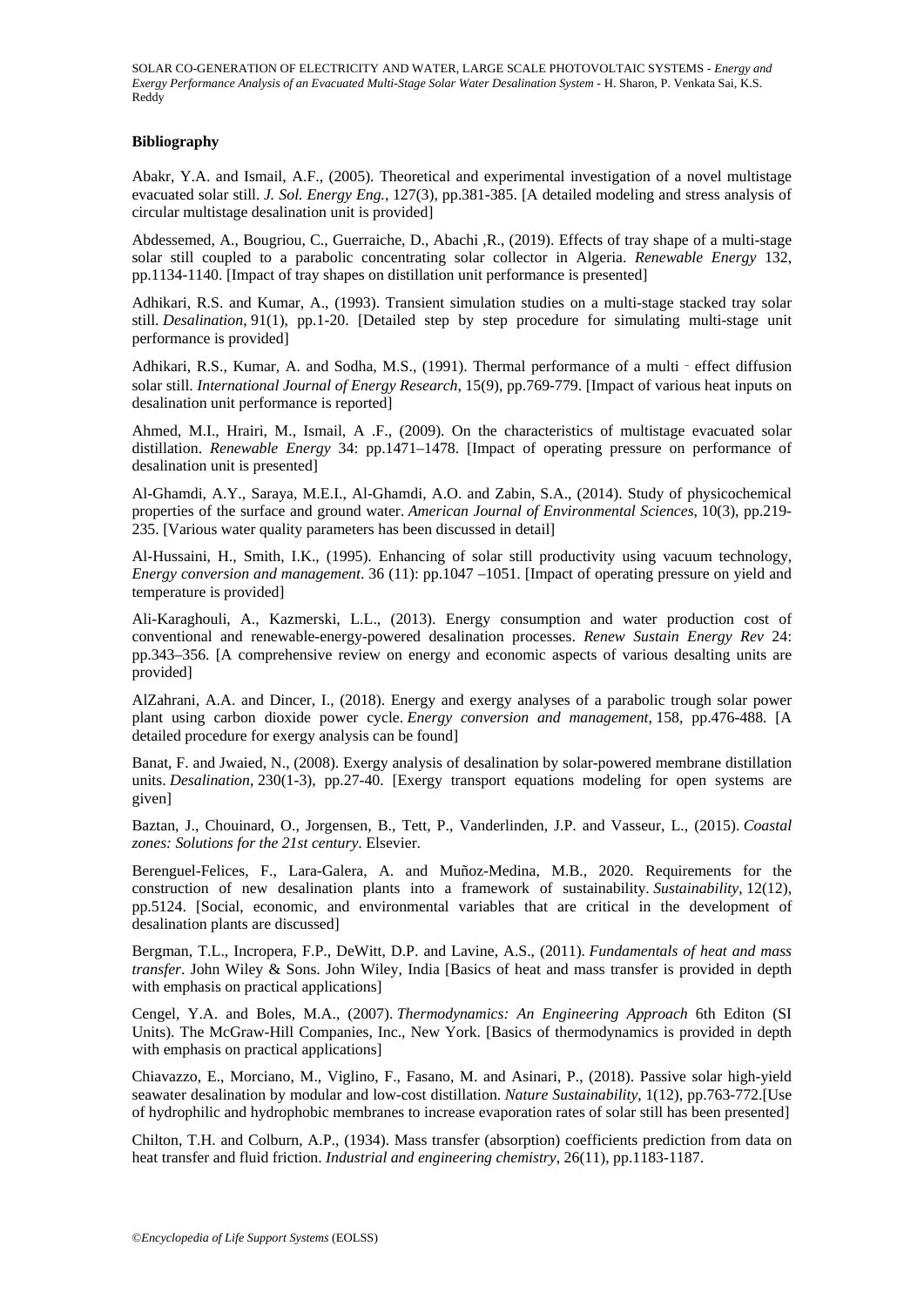#### **Bibliography**

Abakr, Y.A. and Ismail, A.F., (2005). Theoretical and experimental investigation of a novel multistage evacuated solar still. *J. Sol. Energy Eng.*, 127(3), pp.381-385. [A detailed modeling and stress analysis of circular multistage desalination unit is provided]

Abdessemed, A., Bougriou, C., Guerraiche, D., Abachi ,R., (2019). Effects of tray shape of a multi-stage solar still coupled to a parabolic concentrating solar collector in Algeria. *Renewable Energy* 132, pp.1134-1140. [Impact of tray shapes on distillation unit performance is presented]

Adhikari, R.S. and Kumar, A., (1993). Transient simulation studies on a multi-stage stacked tray solar still. *Desalination*, 91(1), pp.1-20. [Detailed step by step procedure for simulating multi-stage unit performance is provided]

Adhikari, R.S., Kumar, A. and Sodha, M.S., (1991). Thermal performance of a multi - effect diffusion solar still. *International Journal of Energy Research*, 15(9), pp.769-779. [Impact of various heat inputs on desalination unit performance is reported]

Ahmed, M.I., Hrairi, M., Ismail, A .F., (2009). On the characteristics of multistage evacuated solar distillation. *Renewable Energy* 34: pp.1471–1478. [Impact of operating pressure on performance of desalination unit is presented]

Al-Ghamdi, A.Y., Saraya, M.E.I., Al-Ghamdi, A.O. and Zabin, S.A., (2014). Study of physicochemical properties of the surface and ground water. *American Journal of Environmental Sciences*, 10(3), pp.219- 235. [Various water quality parameters has been discussed in detail]

Al-Hussaini, H., Smith, I.K., (1995). Enhancing of solar still productivity using vacuum technology, *Energy conversion and management*. 36 (11): pp.1047 –1051. [Impact of operating pressure on yield and temperature is provided]

Ali-Karaghouli, A., Kazmerski, L.L., (2013). Energy consumption and water production cost of conventional and renewable-energy-powered desalination processes. *Renew Sustain Energy Rev* 24: pp.343–356. [A comprehensive review on energy and economic aspects of various desalting units are provided]

AlZahrani, A.A. and Dincer, I., (2018). Energy and exergy analyses of a parabolic trough solar power plant using carbon dioxide power cycle. *Energy conversion and management*, 158, pp.476-488. [A detailed procedure for exergy analysis can be found]

Banat, F. and Jwaied, N., (2008). Exergy analysis of desalination by solar-powered membrane distillation units. *Desalination*, 230(1-3), pp.27-40. [Exergy transport equations modeling for open systems are given]

Baztan, J., Chouinard, O., Jorgensen, B., Tett, P., Vanderlinden, J.P. and Vasseur, L., (2015). *Coastal zones: Solutions for the 21st century*. Elsevier.

Berenguel-Felices, F., Lara-Galera, A. and Muñoz-Medina, M.B., 2020. Requirements for the construction of new desalination plants into a framework of sustainability. *Sustainability*, 12(12), pp.5124. [Social, economic, and environmental variables that are critical in the development of desalination plants are discussed]

Bergman, T.L., Incropera, F.P., DeWitt, D.P. and Lavine, A.S., (2011). *Fundamentals of heat and mass transfer*. John Wiley & Sons. John Wiley, India [Basics of heat and mass transfer is provided in depth with emphasis on practical applications]

Cengel, Y.A. and Boles, M.A., (2007). *Thermodynamics: An Engineering Approach* 6th Editon (SI Units). The McGraw-Hill Companies, Inc., New York. [Basics of thermodynamics is provided in depth with emphasis on practical applications]

Chiavazzo, E., Morciano, M., Viglino, F., Fasano, M. and Asinari, P., (2018). Passive solar high-yield seawater desalination by modular and low-cost distillation. *Nature Sustainability*, 1(12), pp.763-772.[Use of hydrophilic and hydrophobic membranes to increase evaporation rates of solar still has been presented]

Chilton, T.H. and Colburn, A.P., (1934). Mass transfer (absorption) coefficients prediction from data on heat transfer and fluid friction. *Industrial and engineering chemistry*, 26(11), pp.1183-1187.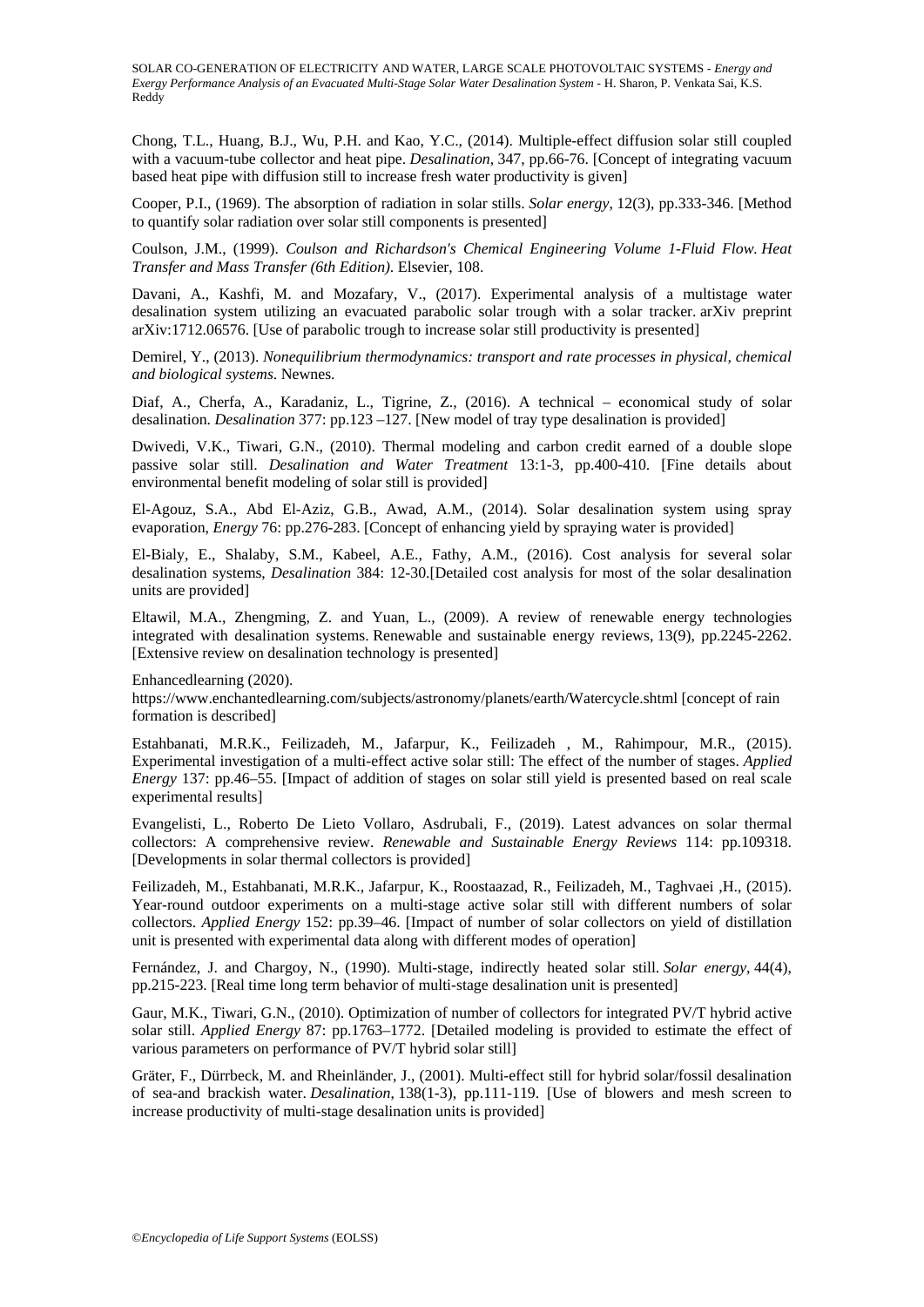Chong, T.L., Huang, B.J., Wu, P.H. and Kao, Y.C., (2014). Multiple-effect diffusion solar still coupled with a vacuum-tube collector and heat pipe. *Desalination*, 347, pp.66-76. [Concept of integrating vacuum based heat pipe with diffusion still to increase fresh water productivity is given]

Cooper, P.I., (1969). The absorption of radiation in solar stills. *Solar energy*, 12(3), pp.333-346. [Method to quantify solar radiation over solar still components is presented]

Coulson, J.M., (1999). *Coulson and Richardson's Chemical Engineering Volume 1-Fluid Flow. Heat Transfer and Mass Transfer (6th Edition)*. Elsevier, 108.

Davani, A., Kashfi, M. and Mozafary, V., (2017). Experimental analysis of a multistage water desalination system utilizing an evacuated parabolic solar trough with a solar tracker. arXiv preprint arXiv:1712.06576. [Use of parabolic trough to increase solar still productivity is presented]

Demirel, Y., (2013). *Nonequilibrium thermodynamics: transport and rate processes in physical, chemical and biological systems*. Newnes.

Diaf, A., Cherfa, A., Karadaniz, L., Tigrine, Z., (2016). A technical – economical study of solar desalination. *Desalination* 377: pp.123 –127. [New model of tray type desalination is provided]

Dwivedi, V.K., Tiwari, G.N., (2010). Thermal modeling and carbon credit earned of a double slope passive solar still. *Desalination and Water Treatment* 13:1-3, pp.400-410. [Fine details about environmental benefit modeling of solar still is provided]

El-Agouz, S.A., Abd El-Aziz, G.B., Awad, A.M., (2014). Solar desalination system using spray evaporation, *Energy* 76: pp.276-283. [Concept of enhancing yield by spraying water is provided]

El-Bialy, E., Shalaby, S.M., Kabeel, A.E., Fathy, A.M., (2016). Cost analysis for several solar desalination systems, *Desalination* 384: 12-30.[Detailed cost analysis for most of the solar desalination units are provided]

Eltawil, M.A., Zhengming, Z. and Yuan, L., (2009). A review of renewable energy technologies integrated with desalination systems. Renewable and sustainable energy reviews, 13(9), pp.2245-2262. [Extensive review on desalination technology is presented]

Enhancedlearning (2020).

https://www.enchantedlearning.com/subjects/astronomy/planets/earth/Watercycle.shtml [concept of rain formation is described]

Estahbanati, M.R.K., Feilizadeh, M., Jafarpur, K., Feilizadeh , M., Rahimpour, M.R., (2015). Experimental investigation of a multi-effect active solar still: The effect of the number of stages. *Applied Energy* 137: pp.46–55. [Impact of addition of stages on solar still yield is presented based on real scale experimental results]

Evangelisti, L., Roberto De Lieto Vollaro, Asdrubali, F., (2019). Latest advances on solar thermal collectors: A comprehensive review. *Renewable and Sustainable Energy Reviews* 114: pp.109318. [Developments in solar thermal collectors is provided]

Feilizadeh, M., Estahbanati, M.R.K., Jafarpur, K., Roostaazad, R., Feilizadeh, M., Taghvaei ,H., (2015). Year-round outdoor experiments on a multi-stage active solar still with different numbers of solar collectors. *Applied Energy* 152: pp.39–46. [Impact of number of solar collectors on yield of distillation unit is presented with experimental data along with different modes of operation]

Fernández, J. and Chargoy, N., (1990). Multi-stage, indirectly heated solar still. *Solar energy*, 44(4), pp.215-223. [Real time long term behavior of multi-stage desalination unit is presented]

Gaur, M.K., Tiwari, G.N., (2010). Optimization of number of collectors for integrated PV/T hybrid active solar still. *Applied Energy* 87: pp.1763–1772. [Detailed modeling is provided to estimate the effect of various parameters on performance of PV/T hybrid solar still]

Gräter, F., Dürrbeck, M. and Rheinländer, J., (2001). Multi-effect still for hybrid solar/fossil desalination of sea-and brackish water. *Desalination*, 138(1-3), pp.111-119. [Use of blowers and mesh screen to increase productivity of multi-stage desalination units is provided]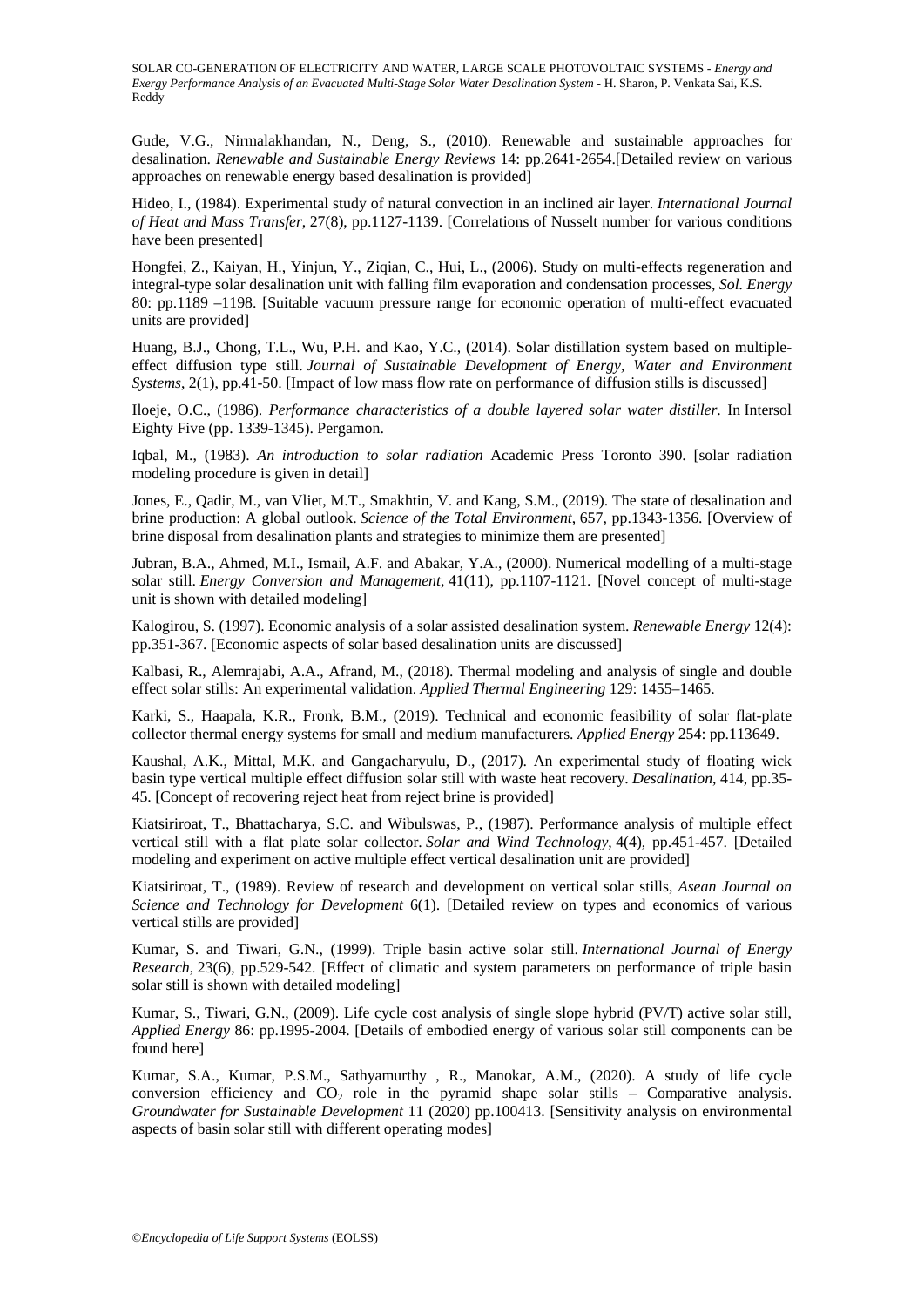Gude, V.G., Nirmalakhandan, N., Deng, S., (2010). Renewable and sustainable approaches for desalination. *Renewable and Sustainable Energy Reviews* 14: pp.2641-2654.[Detailed review on various approaches on renewable energy based desalination is provided]

Hideo, I., (1984). Experimental study of natural convection in an inclined air layer. *International Journal of Heat and Mass Transfer*, 27(8), pp.1127-1139. [Correlations of Nusselt number for various conditions have been presented]

Hongfei, Z., Kaiyan, H., Yinjun, Y., Ziqian, C., Hui, L., (2006). Study on multi-effects regeneration and integral-type solar desalination unit with falling film evaporation and condensation processes, *Sol. Energy* 80: pp.1189 –1198. [Suitable vacuum pressure range for economic operation of multi-effect evacuated units are provided]

Huang, B.J., Chong, T.L., Wu, P.H. and Kao, Y.C., (2014). Solar distillation system based on multipleeffect diffusion type still. *Journal of Sustainable Development of Energy, Water and Environment Systems*, 2(1), pp.41-50. [Impact of low mass flow rate on performance of diffusion stills is discussed]

Iloeje, O.C., (1986). *Performance characteristics of a double layered solar water distiller*. In Intersol Eighty Five (pp. 1339-1345). Pergamon.

Iqbal, M., (1983). *An introduction to solar radiation* Academic Press Toronto 390. [solar radiation modeling procedure is given in detail]

Jones, E., Qadir, M., van Vliet, M.T., Smakhtin, V. and Kang, S.M., (2019). The state of desalination and brine production: A global outlook. *Science of the Total Environment*, 657, pp.1343-1356. [Overview of brine disposal from desalination plants and strategies to minimize them are presented]

Jubran, B.A., Ahmed, M.I., Ismail, A.F. and Abakar, Y.A., (2000). Numerical modelling of a multi-stage solar still. *Energy Conversion and Management*, 41(11), pp.1107-1121. [Novel concept of multi-stage unit is shown with detailed modeling]

Kalogirou, S. (1997). Economic analysis of a solar assisted desalination system. *Renewable Energy* 12(4): pp.351-367. [Economic aspects of solar based desalination units are discussed]

Kalbasi, R., Alemrajabi, A.A., Afrand, M., (2018). Thermal modeling and analysis of single and double effect solar stills: An experimental validation. *Applied Thermal Engineering* 129: 1455–1465.

Karki, S., Haapala, K.R., Fronk, B.M., (2019). Technical and economic feasibility of solar flat-plate collector thermal energy systems for small and medium manufacturers. *Applied Energy* 254: pp.113649.

Kaushal, A.K., Mittal, M.K. and Gangacharyulu, D., (2017). An experimental study of floating wick basin type vertical multiple effect diffusion solar still with waste heat recovery. *Desalination*, 414, pp.35- 45. [Concept of recovering reject heat from reject brine is provided]

Kiatsiriroat, T., Bhattacharya, S.C. and Wibulswas, P., (1987). Performance analysis of multiple effect vertical still with a flat plate solar collector. *Solar and Wind Technology*, 4(4), pp.451-457. [Detailed modeling and experiment on active multiple effect vertical desalination unit are provided]

Kiatsiriroat, T., (1989). Review of research and development on vertical solar stills, *Asean Journal on Science and Technology for Development* 6(1). [Detailed review on types and economics of various vertical stills are provided]

Kumar, S. and Tiwari, G.N., (1999). Triple basin active solar still. *International Journal of Energy Research*, 23(6), pp.529-542. [Effect of climatic and system parameters on performance of triple basin solar still is shown with detailed modeling]

Kumar, S., Tiwari, G.N., (2009). Life cycle cost analysis of single slope hybrid (PV/T) active solar still, *Applied Energy* 86: pp.1995-2004. [Details of embodied energy of various solar still components can be found here]

Kumar, S.A., Kumar, P.S.M., Sathyamurthy , R., Manokar, A.M., (2020). A study of life cycle conversion efficiency and  $CO<sub>2</sub>$  role in the pyramid shape solar stills – Comparative analysis. *Groundwater for Sustainable Development* 11 (2020) pp.100413. [Sensitivity analysis on environmental aspects of basin solar still with different operating modes]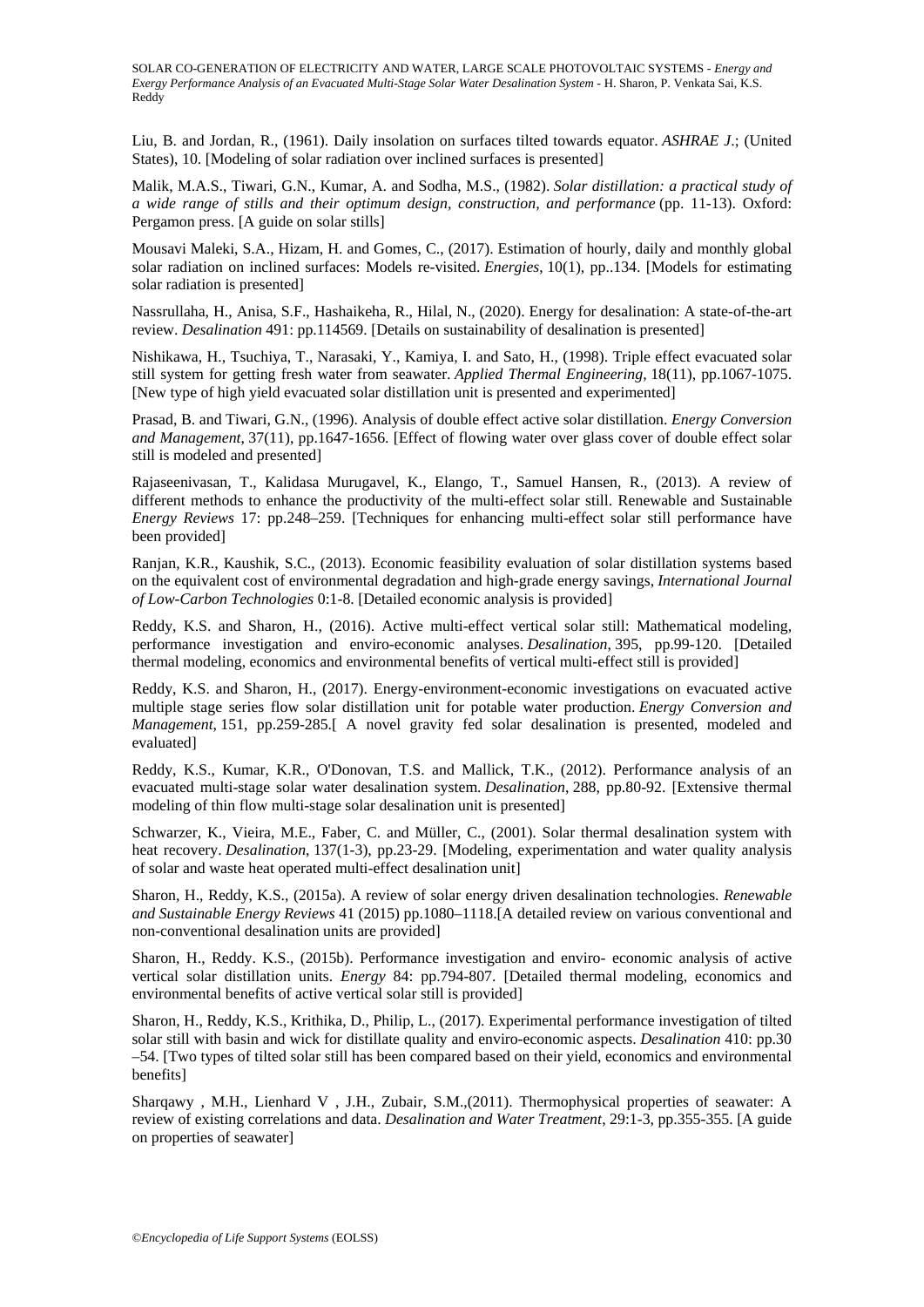Liu, B. and Jordan, R., (1961). Daily insolation on surfaces tilted towards equator. *ASHRAE J*.; (United States), 10. [Modeling of solar radiation over inclined surfaces is presented]

Malik, M.A.S., Tiwari, G.N., Kumar, A. and Sodha, M.S., (1982). *Solar distillation: a practical study of a wide range of stills and their optimum design, construction, and performance* (pp. 11-13). Oxford: Pergamon press. [A guide on solar stills]

Mousavi Maleki, S.A., Hizam, H. and Gomes, C., (2017). Estimation of hourly, daily and monthly global solar radiation on inclined surfaces: Models re-visited. *Energies*, 10(1), pp..134. [Models for estimating solar radiation is presented]

Nassrullaha, H., Anisa, S.F., Hashaikeha, R., Hilal, N., (2020). Energy for desalination: A state-of-the-art review. *Desalination* 491: pp.114569. [Details on sustainability of desalination is presented]

Nishikawa, H., Tsuchiya, T., Narasaki, Y., Kamiya, I. and Sato, H., (1998). Triple effect evacuated solar still system for getting fresh water from seawater. *Applied Thermal Engineering*, 18(11), pp.1067-1075. [New type of high yield evacuated solar distillation unit is presented and experimented]

Prasad, B. and Tiwari, G.N., (1996). Analysis of double effect active solar distillation. *Energy Conversion and Management*, 37(11), pp.1647-1656. [Effect of flowing water over glass cover of double effect solar still is modeled and presented]

Rajaseenivasan, T., Kalidasa Murugavel, K., Elango, T., Samuel Hansen, R., (2013). A review of different methods to enhance the productivity of the multi-effect solar still. Renewable and Sustainable *Energy Reviews* 17: pp.248–259. [Techniques for enhancing multi-effect solar still performance have been provided]

Ranjan, K.R., Kaushik, S.C., (2013). Economic feasibility evaluation of solar distillation systems based on the equivalent cost of environmental degradation and high-grade energy savings, *International Journal of Low-Carbon Technologies* 0:1-8. [Detailed economic analysis is provided]

Reddy, K.S. and Sharon, H., (2016). Active multi-effect vertical solar still: Mathematical modeling, performance investigation and enviro-economic analyses. *Desalination*, 395, pp.99-120. [Detailed thermal modeling, economics and environmental benefits of vertical multi-effect still is provided]

Reddy, K.S. and Sharon, H., (2017). Energy-environment-economic investigations on evacuated active multiple stage series flow solar distillation unit for potable water production. *Energy Conversion and Management*, 151, pp.259-285.[ A novel gravity fed solar desalination is presented, modeled and evaluated]

Reddy, K.S., Kumar, K.R., O'Donovan, T.S. and Mallick, T.K., (2012). Performance analysis of an evacuated multi-stage solar water desalination system. *Desalination*, 288, pp.80-92. [Extensive thermal modeling of thin flow multi-stage solar desalination unit is presented]

Schwarzer, K., Vieira, M.E., Faber, C. and Müller, C., (2001). Solar thermal desalination system with heat recovery. *Desalination*, 137(1-3), pp.23-29. [Modeling, experimentation and water quality analysis of solar and waste heat operated multi-effect desalination unit]

Sharon, H., Reddy, K.S., (2015a). A review of solar energy driven desalination technologies. *Renewable and Sustainable Energy Reviews* 41 (2015) pp.1080–1118.[A detailed review on various conventional and non-conventional desalination units are provided]

Sharon, H., Reddy. K.S., (2015b). Performance investigation and enviro- economic analysis of active vertical solar distillation units. *Energy* 84: pp.794-807. [Detailed thermal modeling, economics and environmental benefits of active vertical solar still is provided]

Sharon, H., Reddy, K.S., Krithika, D., Philip, L., (2017). Experimental performance investigation of tilted solar still with basin and wick for distillate quality and enviro-economic aspects. *Desalination* 410: pp.30 –54. [Two types of tilted solar still has been compared based on their yield, economics and environmental benefits]

Sharqawy , M.H., Lienhard V , J.H., Zubair, S.M.,(2011). Thermophysical properties of seawater: A review of existing correlations and data. *Desalination and Water Treatment*, 29:1-3, pp.355-355. [A guide on properties of seawater]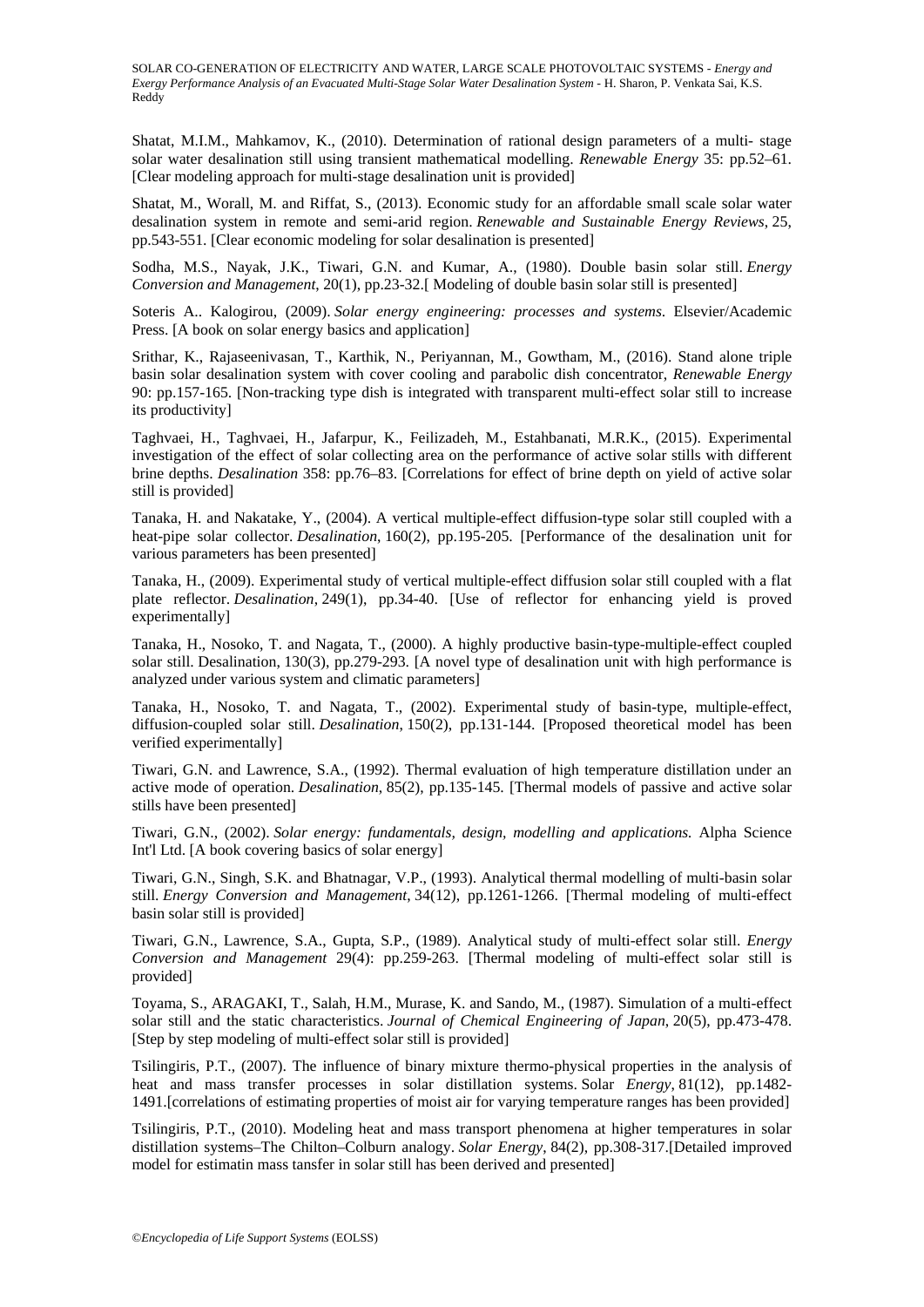Shatat, M.I.M., Mahkamov, K., (2010). Determination of rational design parameters of a multi- stage solar water desalination still using transient mathematical modelling. *Renewable Energy* 35: pp.52–61. [Clear modeling approach for multi-stage desalination unit is provided]

Shatat, M., Worall, M. and Riffat, S., (2013). Economic study for an affordable small scale solar water desalination system in remote and semi-arid region. *Renewable and Sustainable Energy Reviews*, 25, pp.543-551. [Clear economic modeling for solar desalination is presented]

Sodha, M.S., Nayak, J.K., Tiwari, G.N. and Kumar, A., (1980). Double basin solar still. *Energy Conversion and Management*, 20(1), pp.23-32.[ Modeling of double basin solar still is presented]

Soteris A.. Kalogirou, (2009). *Solar energy engineering: processes and systems*. Elsevier/Academic Press. [A book on solar energy basics and application]

Srithar, K., Rajaseenivasan, T., Karthik, N., Periyannan, M., Gowtham, M., (2016). Stand alone triple basin solar desalination system with cover cooling and parabolic dish concentrator, *Renewable Energy* 90: pp.157-165. [Non-tracking type dish is integrated with transparent multi-effect solar still to increase its productivity]

Taghvaei, H., Taghvaei, H., Jafarpur, K., Feilizadeh, M., Estahbanati, M.R.K., (2015). Experimental investigation of the effect of solar collecting area on the performance of active solar stills with different brine depths. *Desalination* 358: pp.76–83. [Correlations for effect of brine depth on yield of active solar still is provided]

Tanaka, H. and Nakatake, Y., (2004). A vertical multiple-effect diffusion-type solar still coupled with a heat-pipe solar collector. *Desalination*, 160(2), pp.195-205. [Performance of the desalination unit for various parameters has been presented]

Tanaka, H., (2009). Experimental study of vertical multiple-effect diffusion solar still coupled with a flat plate reflector. *Desalination*, 249(1), pp.34-40. [Use of reflector for enhancing yield is proved experimentally]

Tanaka, H., Nosoko, T. and Nagata, T., (2000). A highly productive basin-type-multiple-effect coupled solar still. Desalination, 130(3), pp.279-293. [A novel type of desalination unit with high performance is analyzed under various system and climatic parameters]

Tanaka, H., Nosoko, T. and Nagata, T., (2002). Experimental study of basin-type, multiple-effect, diffusion-coupled solar still. *Desalination*, 150(2), pp.131-144. [Proposed theoretical model has been verified experimentally]

Tiwari, G.N. and Lawrence, S.A., (1992). Thermal evaluation of high temperature distillation under an active mode of operation. *Desalination*, 85(2), pp.135-145. [Thermal models of passive and active solar stills have been presented]

Tiwari, G.N., (2002). *Solar energy: fundamentals, design, modelling and applications.* Alpha Science Int'l Ltd. [A book covering basics of solar energy]

Tiwari, G.N., Singh, S.K. and Bhatnagar, V.P., (1993). Analytical thermal modelling of multi-basin solar still. *Energy Conversion and Management*, 34(12), pp.1261-1266. [Thermal modeling of multi-effect basin solar still is provided]

Tiwari, G.N., Lawrence, S.A., Gupta, S.P., (1989). Analytical study of multi-effect solar still. *Energy Conversion and Management* 29(4): pp.259-263. [Thermal modeling of multi-effect solar still is provided]

Toyama, S., ARAGAKI, T., Salah, H.M., Murase, K. and Sando, M., (1987). Simulation of a multi-effect solar still and the static characteristics. *Journal of Chemical Engineering of Japan*, 20(5), pp.473-478. [Step by step modeling of multi-effect solar still is provided]

Tsilingiris, P.T., (2007). The influence of binary mixture thermo-physical properties in the analysis of heat and mass transfer processes in solar distillation systems. Solar *Energy*, 81(12), pp.1482- 1491.[correlations of estimating properties of moist air for varying temperature ranges has been provided]

Tsilingiris, P.T., (2010). Modeling heat and mass transport phenomena at higher temperatures in solar distillation systems–The Chilton–Colburn analogy. *Solar Energy*, 84(2), pp.308-317.[Detailed improved model for estimatin mass tansfer in solar still has been derived and presented]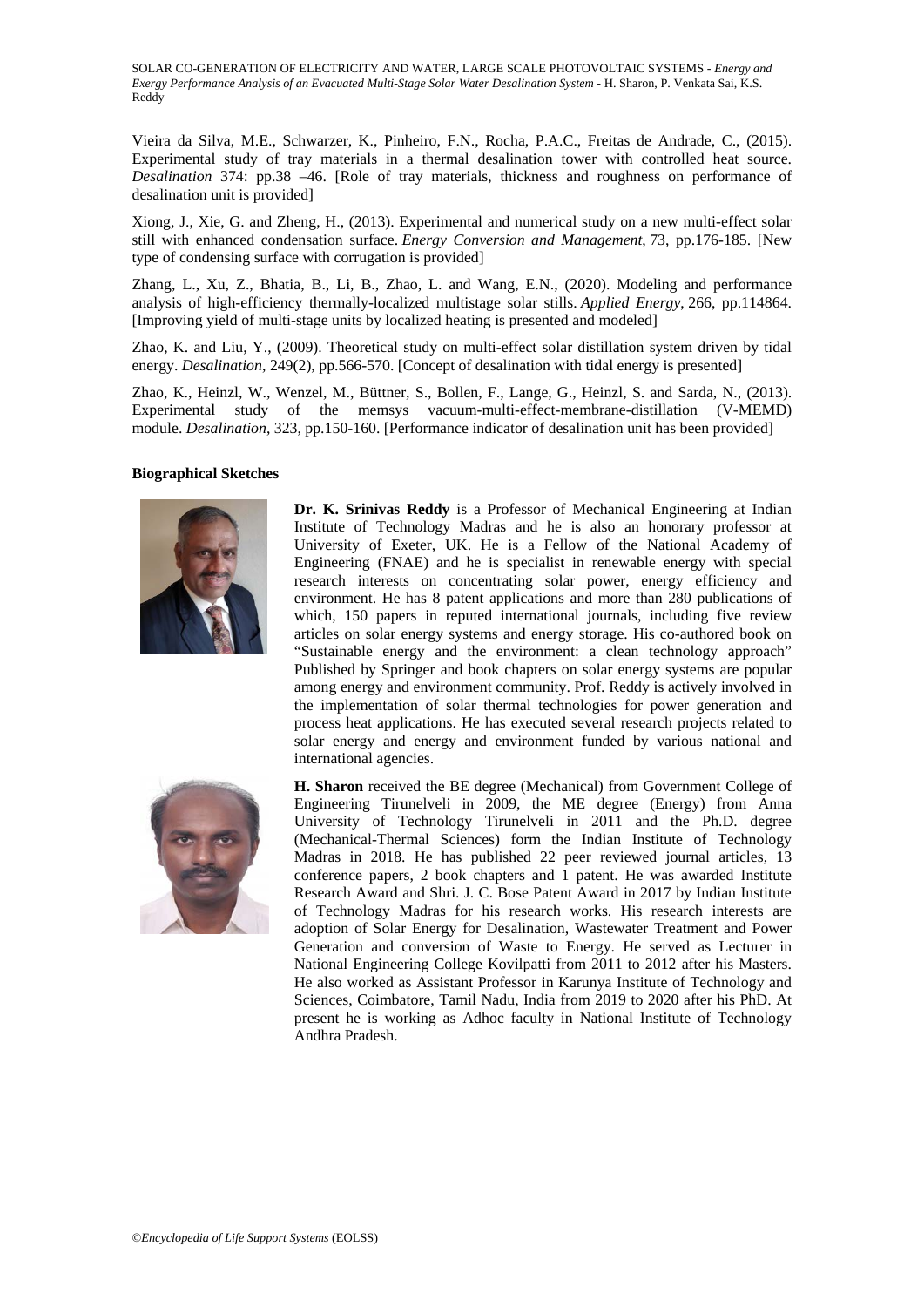Vieira da Silva, M.E., Schwarzer, K., Pinheiro, F.N., Rocha, P.A.C., Freitas de Andrade, C., (2015). Experimental study of tray materials in a thermal desalination tower with controlled heat source. *Desalination* 374: pp.38 –46. [Role of tray materials, thickness and roughness on performance of desalination unit is provided]

Xiong, J., Xie, G. and Zheng, H., (2013). Experimental and numerical study on a new multi-effect solar still with enhanced condensation surface. *Energy Conversion and Management*, 73, pp.176-185. [New type of condensing surface with corrugation is provided]

Zhang, L., Xu, Z., Bhatia, B., Li, B., Zhao, L. and Wang, E.N., (2020). Modeling and performance analysis of high-efficiency thermally-localized multistage solar stills. *Applied Energy*, 266, pp.114864. [Improving yield of multi-stage units by localized heating is presented and modeled]

Zhao, K. and Liu, Y., (2009). Theoretical study on multi-effect solar distillation system driven by tidal energy. *Desalination*, 249(2), pp.566-570. [Concept of desalination with tidal energy is presented]

Zhao, K., Heinzl, W., Wenzel, M., Büttner, S., Bollen, F., Lange, G., Heinzl, S. and Sarda, N., (2013). Experimental study of the memsys vacuum-multi-effect-membrane-distillation (V-MEMD) module. *Desalination*, 323, pp.150-160. [Performance indicator of desalination unit has been provided]

#### **Biographical Sketches**



**Dr. K. Srinivas Reddy** is a Professor of Mechanical Engineering at Indian Institute of Technology Madras and he is also an honorary professor at University of Exeter, UK. He is a Fellow of the National Academy of Engineering (FNAE) and he is specialist in renewable energy with special research interests on concentrating solar power, energy efficiency and environment. He has 8 patent applications and more than 280 publications of which, 150 papers in reputed international journals, including five review articles on solar energy systems and energy storage. His co-authored book on "Sustainable energy and the environment: a clean technology approach" Published by Springer and book chapters on solar energy systems are popular among energy and environment community. Prof. Reddy is actively involved in the implementation of solar thermal technologies for power generation and process heat applications. He has executed several research projects related to solar energy and energy and environment funded by various national and international agencies.



**H. Sharon** received the BE degree (Mechanical) from Government College of Engineering Tirunelveli in 2009, the ME degree (Energy) from Anna University of Technology Tirunelveli in 2011 and the Ph.D. degree (Mechanical-Thermal Sciences) form the Indian Institute of Technology Madras in 2018. He has published 22 peer reviewed journal articles, 13 conference papers, 2 book chapters and 1 patent. He was awarded Institute Research Award and Shri. J. C. Bose Patent Award in 2017 by Indian Institute of Technology Madras for his research works. His research interests are adoption of Solar Energy for Desalination, Wastewater Treatment and Power Generation and conversion of Waste to Energy. He served as Lecturer in National Engineering College Kovilpatti from 2011 to 2012 after his Masters. He also worked as Assistant Professor in Karunya Institute of Technology and Sciences, Coimbatore, Tamil Nadu, India from 2019 to 2020 after his PhD. At present he is working as Adhoc faculty in National Institute of Technology Andhra Pradesh.